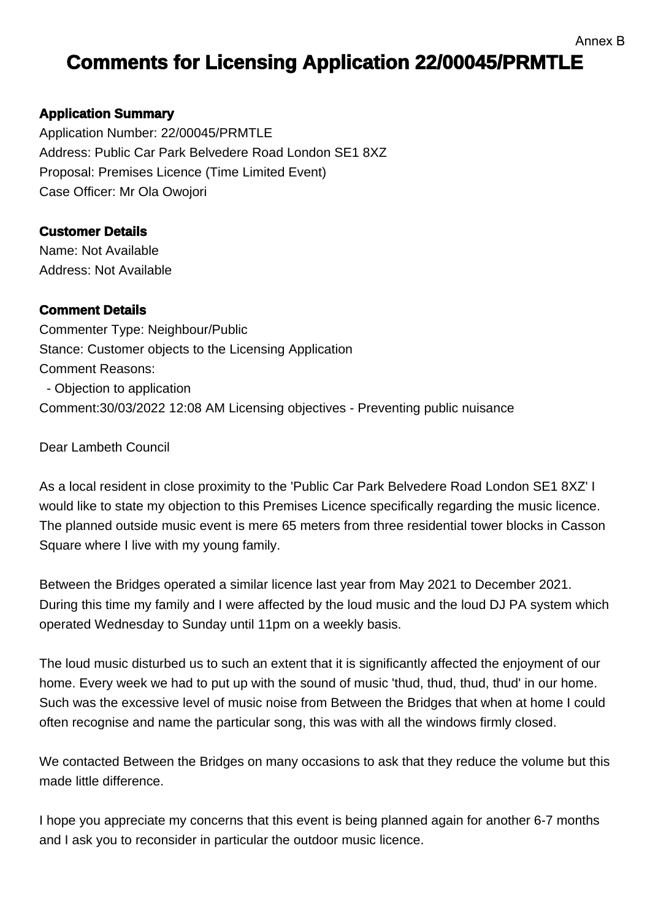## **Comments for Licensing Application 22/00045/PRMTLE**

## **Application Summary**

Application Number: 22/00045/PRMTLE Address: Public Car Park Belvedere Road London SE1 8XZ Proposal: Premises Licence (Time Limited Event) Case Officer: Mr Ola Owojori

## **Customer Details**

Name: Not Available Address: Not Available

## **Comment Details**

Commenter Type: Neighbour/Public Stance: Customer objects to the Licensing Application Comment Reasons: - Objection to application Comment:30/03/2022 12:08 AM Licensing objectives - Preventing public nuisance

Dear Lambeth Council

As a local resident in close proximity to the 'Public Car Park Belvedere Road London SE1 8XZ' I would like to state my objection to this Premises Licence specifically regarding the music licence. The planned outside music event is mere 65 meters from three residential tower blocks in Casson Square where I live with my young family.

Between the Bridges operated a similar licence last year from May 2021 to December 2021. During this time my family and I were affected by the loud music and the loud DJ PA system which operated Wednesday to Sunday until 11pm on a weekly basis.

The loud music disturbed us to such an extent that it is significantly affected the enjoyment of our home. Every week we had to put up with the sound of music 'thud, thud, thud, thud' in our home. Such was the excessive level of music noise from Between the Bridges that when at home I could often recognise and name the particular song, this was with all the windows firmly closed.

We contacted Between the Bridges on many occasions to ask that they reduce the volume but this made little difference.

I hope you appreciate my concerns that this event is being planned again for another 6-7 months and I ask you to reconsider in particular the outdoor music licence.